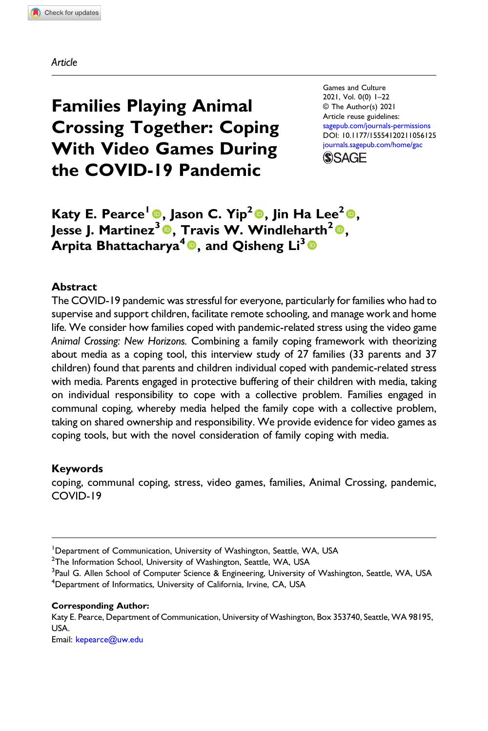Article

# Families Playing Animal Crossing Together: Coping With Video Games During the COVID-19 Pandemic

Games and Culture 2021, Vol. 0(0) 1–22 © The Author(s) 2021 Article reuse guidelines: [sagepub.com/journals-permissions](https://us.sagepub.com/en-us/journals-permissions) DOI: [10.1177/15554120211056125](https://doi.org/10.1177/15554120211056125) [journals.sagepub.com/home/gac](https://journals.sagepub.com/home/gac)



Katy E. Pearce<sup>1</sup><sup>®</sup>, Jason C. Yip<sup>2</sup><sup>®</sup>, Jin Ha Lee<sup>2</sup><sup>®</sup>, Jesse J. Martinez<sup>3</sup><sup>®</sup>, Travis W. Windleharth<sup>2</sup><sup>®</sup>, Arpita Bhattacharya<sup>4</sup><sup>®</sup>, and Qisheng Li<sup>3</sup><sup>®</sup>

# **Abstract**

The COVID-19 pandemic was stressful for everyone, particularly for families who had to supervise and support children, facilitate remote schooling, and manage work and home life. We consider how families coped with pandemic-related stress using the video game Animal Crossing: New Horizons. Combining a family coping framework with theorizing about media as a coping tool, this interview study of 27 families (33 parents and 37 children) found that parents and children individual coped with pandemic-related stress with media. Parents engaged in protective buffering of their children with media, taking on individual responsibility to cope with a collective problem. Families engaged in communal coping, whereby media helped the family cope with a collective problem, taking on shared ownership and responsibility. We provide evidence for video games as coping tools, but with the novel consideration of family coping with media.

# Keywords

coping, communal coping, stress, video games, families, Animal Crossing, pandemic, COVID-19

 $^{2}$ The Information School, University of Washington, Seattle, WA, USA

#### Corresponding Author:

Katy E. Pearce, Department of Communication, University of Washington, Box 353740, Seattle, WA 98195, USA.

Email: [kepearce@uw.edu](mailto:kepearce@uw.edu)

<sup>&</sup>lt;sup>1</sup>Department of Communication, University of Washington, Seattle, WA, USA

<sup>&</sup>lt;sup>3</sup> Paul G. Allen School of Computer Science & Engineering, University of Washington, Seattle, WA, USA <sup>4</sup>Department of Informatics, University of California, Irvine, CA, USA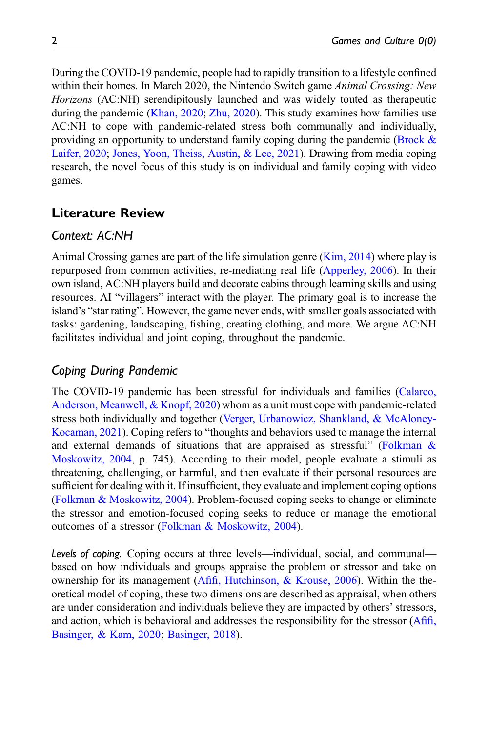During the COVID-19 pandemic, people had to rapidly transition to a lifestyle confined within their homes. In March 2020, the Nintendo Switch game *Animal Crossing: New* Horizons (AC:NH) serendipitously launched and was widely touted as therapeutic during the pandemic [\(Khan, 2020;](#page-17-0) [Zhu, 2020](#page-20-0)). This study examines how families use AC:NH to cope with pandemic-related stress both communally and individually, providing an opportunity to understand family coping during the pandemic ([Brock &](#page-15-0) [Laifer, 2020](#page-15-0); [Jones, Yoon, Theiss, Austin, & Lee, 2021](#page-17-1)). Drawing from media coping research, the novel focus of this study is on individual and family coping with video games.

# Literature Review

# Context: AC:NH

Animal Crossing games are part of the life simulation genre [\(Kim, 2014\)](#page-18-0) where play is repurposed from common activities, re-mediating real life ([Apperley, 2006\)](#page-15-1). In their own island, AC:NH players build and decorate cabins through learning skills and using resources. AI "villagers" interact with the player. The primary goal is to increase the island's "star rating". However, the game never ends, with smaller goals associated with tasks: gardening, landscaping, fishing, creating clothing, and more. We argue AC:NH facilitates individual and joint coping, throughout the pandemic.

# Coping During Pandemic

The COVID-19 pandemic has been stressful for individuals and families [\(Calarco,](#page-16-0) [Anderson, Meanwell, & Knopf, 2020\)](#page-16-0) whom as a unit must cope with pandemic-related stress both individually and together ([Verger, Urbanowicz, Shankland, & McAloney-](#page-20-1)[Kocaman, 2021](#page-20-1)). Coping refers to "thoughts and behaviors used to manage the internal and external demands of situations that are appraised as stressful" [\(Folkman &](#page-17-2) [Moskowitz, 2004,](#page-17-2) p. 745). According to their model, people evaluate a stimuli as threatening, challenging, or harmful, and then evaluate if their personal resources are sufficient for dealing with it. If insufficient, they evaluate and implement coping options ([Folkman & Moskowitz, 2004](#page-17-2)). Problem-focused coping seeks to change or eliminate the stressor and emotion-focused coping seeks to reduce or manage the emotional outcomes of a stressor ([Folkman & Moskowitz, 2004\)](#page-17-2).

Levels of coping. Coping occurs at three levels—individual, social, and communal based on how individuals and groups appraise the problem or stressor and take on ownership for its management (Afifi[, Hutchinson, & Krouse, 2006](#page-15-2)). Within the theoretical model of coping, these two dimensions are described as appraisal, when others are under consideration and individuals believe they are impacted by others' stressors, and action, which is behavioral and addresses the responsibility for the stressor (A[fifi](#page-15-3), [Basinger, & Kam, 2020](#page-15-3); [Basinger, 2018\)](#page-15-4).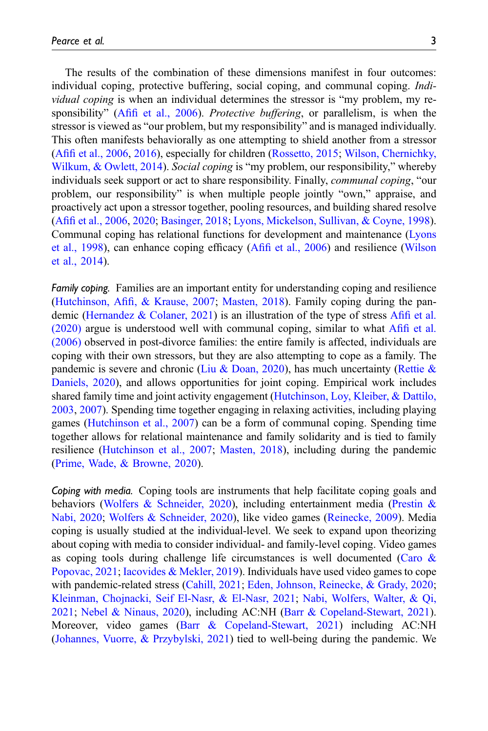The results of the combination of these dimensions manifest in four outcomes: individual coping, protective buffering, social coping, and communal coping. Individual coping is when an individual determines the stressor is "my problem, my responsibility" (Afifi [et al., 2006](#page-15-2)). Protective buffering, or parallelism, is when the stressor is viewed as "our problem, but my responsibility" and is managed individually. This often manifests behaviorally as one attempting to shield another from a stressor (Afifi [et al., 2006,](#page-15-2) [2016\)](#page-15-5), especially for children ([Rossetto, 2015;](#page-19-0) [Wilson, Chernichky,](#page-20-2) [Wilkum, & Owlett, 2014](#page-20-2)). Social coping is "my problem, our responsibility," whereby individuals seek support or act to share responsibility. Finally, *communal coping*, "our problem, our responsibility" is when multiple people jointly "own," appraise, and proactively act upon a stressor together, pooling resources, and building shared resolve (Afifi [et al., 2006,](#page-15-2) [2020](#page-15-3); [Basinger, 2018;](#page-15-4) [Lyons, Mickelson, Sullivan, & Coyne, 1998\)](#page-18-1). Communal coping has relational functions for development and maintenance [\(Lyons](#page-18-1) [et al., 1998\)](#page-18-1), can enhance coping efficacy (Afifi [et al., 2006](#page-15-2)) and resilience [\(Wilson](#page-20-2) [et al., 2014](#page-20-2)).

Family coping. Families are an important entity for understanding coping and resilience (Hutchinson, Afifi[, & Krause, 2007](#page-17-3); [Masten, 2018\)](#page-18-2). Family coping during the pandemic (Hernandez  $& Colaner, 2021$ ) is an illustration of the type of stress Afifi [et al.](#page-15-3) [\(2020\)](#page-15-3) argue is understood well with communal coping, similar to what Afifi [et al.](#page-15-2) [\(2006\)](#page-15-2) observed in post-divorce families: the entire family is affected, individuals are coping with their own stressors, but they are also attempting to cope as a family. The pandemic is severe and chronic ([Liu & Doan, 2020\)](#page-18-3), has much uncertainty [\(Rettie &](#page-19-1) [Daniels, 2020](#page-19-1)), and allows opportunities for joint coping. Empirical work includes shared family time and joint activity engagement [\(Hutchinson, Loy, Kleiber, & Dattilo,](#page-17-5) [2003,](#page-17-5) [2007](#page-17-3)). Spending time together engaging in relaxing activities, including playing games [\(Hutchinson et al., 2007](#page-17-3)) can be a form of communal coping. Spending time together allows for relational maintenance and family solidarity and is tied to family resilience ([Hutchinson et al., 2007;](#page-17-3) [Masten, 2018](#page-18-2)), including during the pandemic ([Prime, Wade, & Browne, 2020\)](#page-19-2).

Coping with media. Coping tools are instruments that help facilitate coping goals and behaviors ([Wolfers & Schneider, 2020](#page-20-3)), including entertainment media ([Prestin &](#page-19-3) [Nabi, 2020](#page-19-3); [Wolfers & Schneider, 2020](#page-20-3)), like video games ([Reinecke, 2009](#page-19-4)). Media coping is usually studied at the individual-level. We seek to expand upon theorizing about coping with media to consider individual- and family-level coping. Video games as coping tools during challenge life circumstances is well documented ([Caro &](#page-16-1) [Popovac, 2021](#page-16-1); [Iacovides & Mekler, 2019](#page-17-6)). Individuals have used video games to cope with pandemic-related stress ([Cahill, 2021;](#page-16-2) [Eden, Johnson, Reinecke, & Grady, 2020;](#page-16-3) [Kleinman, Chojnacki, Seif El-Nasr, & El-Nasr, 2021;](#page-18-4) [Nabi, Wolfers, Walter, & Qi,](#page-18-5) [2021;](#page-18-5) [Nebel & Ninaus, 2020\)](#page-18-6), including AC:NH [\(Barr & Copeland-Stewart, 2021\)](#page-15-6). Moreover, video games [\(Barr & Copeland-Stewart, 2021](#page-15-6)) including AC:NH ([Johannes, Vuorre, & Przybylski, 2021](#page-17-7)) tied to well-being during the pandemic. We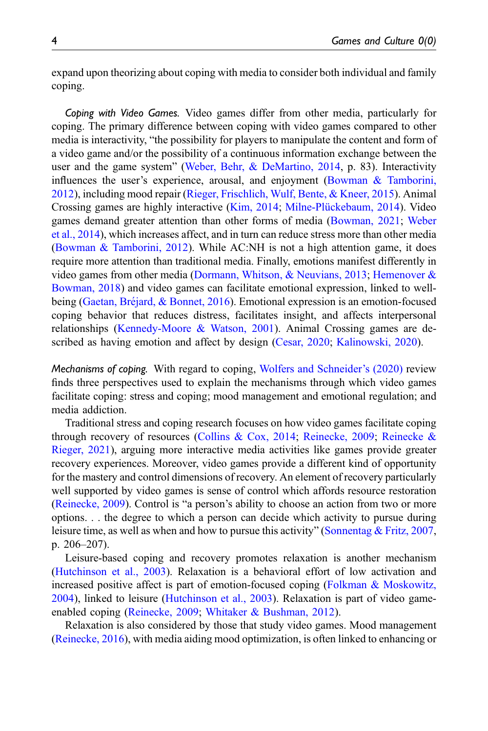expand upon theorizing about coping with media to consider both individual and family coping.

Coping with Video Games. Video games differ from other media, particularly for coping. The primary difference between coping with video games compared to other media is interactivity, "the possibility for players to manipulate the content and form of a video game and/or the possibility of a continuous information exchange between the user and the game system" ([Weber, Behr, & DeMartino, 2014](#page-20-4), p. 83). Interactivity influences the user's experience, arousal, and enjoyment ([Bowman & Tamborini,](#page-15-7) [2012\)](#page-15-7), including mood repair [\(Rieger, Frischlich, Wulf, Bente, & Kneer, 2015](#page-19-5)). Animal Crossing games are highly interactive ([Kim, 2014;](#page-18-0) [Milne-Plückebaum, 2014\)](#page-18-7). Video games demand greater attention than other forms of media ([Bowman, 2021](#page-15-8); [Weber](#page-20-4) [et al., 2014\)](#page-20-4), which increases affect, and in turn can reduce stress more than other media ([Bowman & Tamborini, 2012\)](#page-15-7). While AC:NH is not a high attention game, it does require more attention than traditional media. Finally, emotions manifest differently in video games from other media (Dormann, Whitson,  $\&$  Neuvians, 2013; Hemenover  $\&$ [Bowman, 2018\)](#page-17-8) and video games can facilitate emotional expression, linked to wellbeing (Gaetan, Bréjard,  $\&$  Bonnet, 2016). Emotional expression is an emotion-focused coping behavior that reduces distress, facilitates insight, and affects interpersonal relationships ([Kennedy-Moore & Watson, 2001\)](#page-17-10). Animal Crossing games are described as having emotion and affect by design ([Cesar, 2020;](#page-16-5) [Kalinowski, 2020](#page-17-11)).

Mechanisms of coping. With regard to coping, [Wolfers and Schneider](#page-20-3)'s (2020) review finds three perspectives used to explain the mechanisms through which video games facilitate coping: stress and coping; mood management and emotional regulation; and media addiction.

Traditional stress and coping research focuses on how video games facilitate coping through recovery of resources ([Collins & Cox, 2014;](#page-16-6) [Reinecke, 2009](#page-19-4); [Reinecke &](#page-19-6) [Rieger, 2021\)](#page-19-6), arguing more interactive media activities like games provide greater recovery experiences. Moreover, video games provide a different kind of opportunity for the mastery and control dimensions of recovery. An element of recovery particularly well supported by video games is sense of control which affords resource restoration ([Reinecke, 2009\)](#page-19-4). Control is "a person's ability to choose an action from two or more options. . . the degree to which a person can decide which activity to pursue during leisure time, as well as when and how to pursue this activity" [\(Sonnentag & Fritz, 2007,](#page-20-5) p. 206–207).

Leisure-based coping and recovery promotes relaxation is another mechanism ([Hutchinson et al., 2003](#page-17-5)). Relaxation is a behavioral effort of low activation and increased positive affect is part of emotion-focused coping ([Folkman & Moskowitz,](#page-17-2) [2004\)](#page-17-2), linked to leisure [\(Hutchinson et al., 2003](#page-17-5)). Relaxation is part of video gameenabled coping [\(Reinecke, 2009;](#page-19-4) [Whitaker & Bushman, 2012](#page-20-6)).

Relaxation is also considered by those that study video games. Mood management ([Reinecke, 2016](#page-19-7)), with media aiding mood optimization, is often linked to enhancing or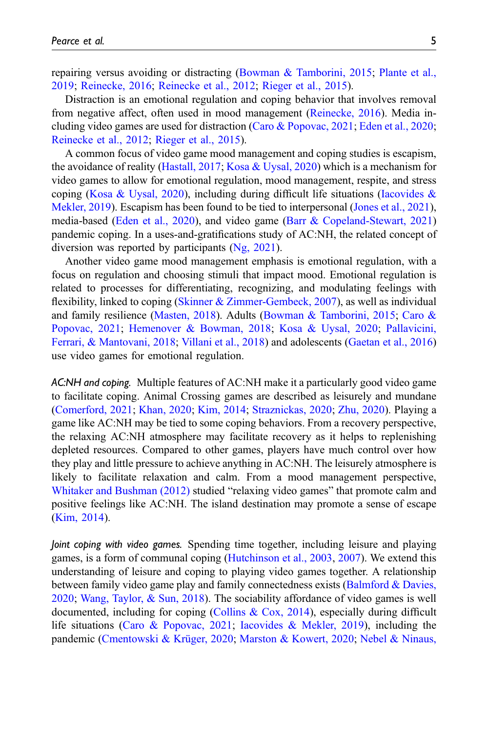repairing versus avoiding or distracting ([Bowman & Tamborini, 2015](#page-15-9); [Plante et al.,](#page-19-8) [2019;](#page-19-8) [Reinecke, 2016](#page-19-7); [Reinecke et al., 2012](#page-19-9); [Rieger et al., 2015\)](#page-19-5).

Distraction is an emotional regulation and coping behavior that involves removal from negative affect, often used in mood management [\(Reinecke, 2016](#page-19-7)). Media including video games are used for distraction [\(Caro & Popovac, 2021](#page-16-1); [Eden et al., 2020;](#page-16-3) [Reinecke et al., 2012;](#page-19-9) [Rieger et al., 2015\)](#page-19-5).

A common focus of video game mood management and coping studies is escapism, the avoidance of reality [\(Hastall, 2017;](#page-17-12) [Kosa & Uysal, 2020\)](#page-18-8) which is a mechanism for video games to allow for emotional regulation, mood management, respite, and stress coping [\(Kosa & Uysal, 2020\)](#page-18-8), including during difficult life situations [\(Iacovides &](#page-17-6) [Mekler, 2019](#page-17-6)). Escapism has been found to be tied to interpersonal ([Jones et al., 2021\)](#page-17-1), media-based [\(Eden et al., 2020\)](#page-16-3), and video game [\(Barr & Copeland-Stewart, 2021](#page-15-6)) pandemic coping. In a uses-and-gratifications study of AC:NH, the related concept of diversion was reported by participants [\(Ng, 2021](#page-18-9)).

Another video game mood management emphasis is emotional regulation, with a focus on regulation and choosing stimuli that impact mood. Emotional regulation is related to processes for differentiating, recognizing, and modulating feelings with flexibility, linked to coping ([Skinner & Zimmer-Gembeck, 2007](#page-20-7)), as well as individual and family resilience [\(Masten, 2018](#page-18-2)). Adults [\(Bowman & Tamborini, 2015](#page-15-9); [Caro &](#page-16-1) [Popovac, 2021;](#page-16-1) [Hemenover & Bowman, 2018;](#page-17-8) [Kosa & Uysal, 2020](#page-18-8); [Pallavicini,](#page-19-10) [Ferrari, & Mantovani, 2018;](#page-19-10) [Villani et al., 2018](#page-20-8)) and adolescents [\(Gaetan et al., 2016](#page-17-9)) use video games for emotional regulation.

AC:NH and coping. Multiple features of AC:NH make it a particularly good video game to facilitate coping. Animal Crossing games are described as leisurely and mundane ([Comerford, 2021](#page-16-7); [Khan, 2020;](#page-17-0) [Kim, 2014;](#page-18-0) [Straznickas, 2020;](#page-20-9) [Zhu, 2020\)](#page-20-0). Playing a game like AC:NH may be tied to some coping behaviors. From a recovery perspective, the relaxing AC:NH atmosphere may facilitate recovery as it helps to replenishing depleted resources. Compared to other games, players have much control over how they play and little pressure to achieve anything in AC:NH. The leisurely atmosphere is likely to facilitate relaxation and calm. From a mood management perspective, [Whitaker and Bushman \(2012\)](#page-20-6) studied "relaxing video games" that promote calm and positive feelings like AC:NH. The island destination may promote a sense of escape ([Kim, 2014](#page-18-0)).

Joint coping with video games. Spending time together, including leisure and playing games, is a form of communal coping ([Hutchinson et al., 2003](#page-17-5), [2007](#page-17-3)). We extend this understanding of leisure and coping to playing video games together. A relationship between family video game play and family connectedness exists ([Balmford & Davies,](#page-15-10) [2020;](#page-15-10) [Wang, Taylor, & Sun, 2018](#page-20-10)). The sociability affordance of video games is well documented, including for coping ([Collins & Cox, 2014](#page-16-6)), especially during difficult life situations ([Caro & Popovac, 2021;](#page-16-1) [Iacovides & Mekler, 2019](#page-17-6)), including the pandemic [\(Cmentowski & Krüger, 2020;](#page-16-8) [Marston & Kowert, 2020](#page-18-10); [Nebel & Ninaus,](#page-18-6)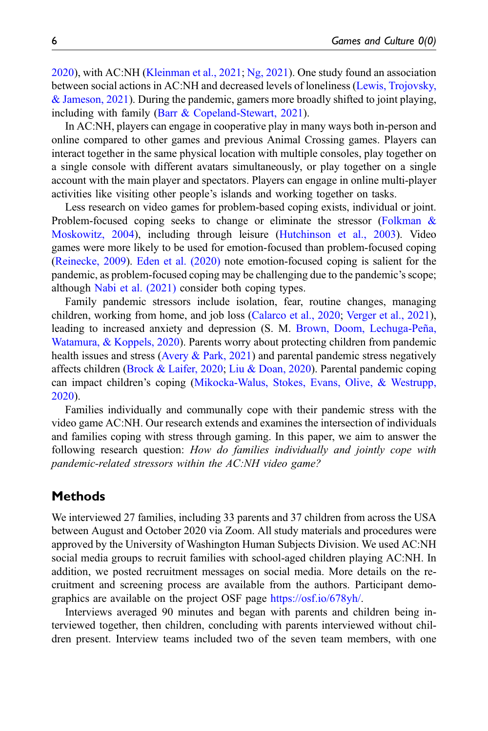[2020\)](#page-18-6), with AC:NH [\(Kleinman et al., 2021;](#page-18-4) [Ng, 2021\)](#page-18-9). One study found an association between social actions in AC:NH and decreased levels of loneliness [\(Lewis, Trojovsky,](#page-18-11) [& Jameson, 2021](#page-18-11)). During the pandemic, gamers more broadly shifted to joint playing, including with family ([Barr & Copeland-Stewart, 2021](#page-15-6)).

In AC:NH, players can engage in cooperative play in many ways both in-person and online compared to other games and previous Animal Crossing games. Players can interact together in the same physical location with multiple consoles, play together on a single console with different avatars simultaneously, or play together on a single account with the main player and spectators. Players can engage in online multi-player activities like visiting other people's islands and working together on tasks.

Less research on video games for problem-based coping exists, individual or joint. Problem-focused coping seeks to change or eliminate the stressor ([Folkman &](#page-17-2) [Moskowitz, 2004\)](#page-17-2), including through leisure [\(Hutchinson et al., 2003\)](#page-17-5). Video games were more likely to be used for emotion-focused than problem-focused coping ([Reinecke, 2009\)](#page-19-4). [Eden et al. \(2020\)](#page-16-3) note emotion-focused coping is salient for the pandemic, as problem-focused coping may be challenging due to the pandemic's scope; although [Nabi et al. \(2021\)](#page-18-5) consider both coping types.

Family pandemic stressors include isolation, fear, routine changes, managing children, working from home, and job loss ([Calarco et al., 2020](#page-16-0); [Verger et al., 2021\)](#page-20-1), leading to increased anxiety and depression (S. M. [Brown, Doom, Lechuga-Peña,](#page-16-9) [Watamura, & Koppels, 2020\)](#page-16-9). Parents worry about protecting children from pandemic health issues and stress ([Avery & Park, 2021\)](#page-15-11) and parental pandemic stress negatively affects children [\(Brock & Laifer, 2020;](#page-15-0) [Liu & Doan, 2020](#page-18-3)). Parental pandemic coping can impact children's coping ([Mikocka-Walus, Stokes, Evans, Olive, & Westrupp,](#page-18-12) [2020\)](#page-18-12).

Families individually and communally cope with their pandemic stress with the video game AC:NH. Our research extends and examines the intersection of individuals and families coping with stress through gaming. In this paper, we aim to answer the following research question: How do families individually and jointly cope with pandemic-related stressors within the AC:NH video game?

# **Methods**

We interviewed 27 families, including 33 parents and 37 children from across the USA between August and October 2020 via Zoom. All study materials and procedures were approved by the University of Washington Human Subjects Division. We used AC:NH social media groups to recruit families with school-aged children playing AC:NH. In addition, we posted recruitment messages on social media. More details on the recruitment and screening process are available from the authors. Participant demographics are available on the project OSF page <https://osf.io/678yh/>.

Interviews averaged 90 minutes and began with parents and children being interviewed together, then children, concluding with parents interviewed without children present. Interview teams included two of the seven team members, with one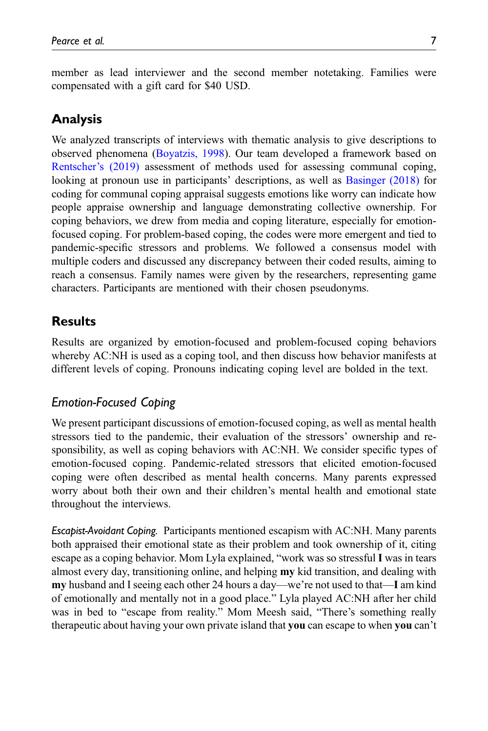member as lead interviewer and the second member notetaking. Families were compensated with a gift card for \$40 USD.

# Analysis

We analyzed transcripts of interviews with thematic analysis to give descriptions to observed phenomena ([Boyatzis, 1998\)](#page-15-12). Our team developed a framework based on [Rentscher](#page-19-11)'s (2019) assessment of methods used for assessing communal coping, looking at pronoun use in participants' descriptions, as well as [Basinger \(2018\)](#page-15-4) for coding for communal coping appraisal suggests emotions like worry can indicate how people appraise ownership and language demonstrating collective ownership. For coping behaviors, we drew from media and coping literature, especially for emotionfocused coping. For problem-based coping, the codes were more emergent and tied to pandemic-specific stressors and problems. We followed a consensus model with multiple coders and discussed any discrepancy between their coded results, aiming to reach a consensus. Family names were given by the researchers, representing game characters. Participants are mentioned with their chosen pseudonyms.

# **Results**

Results are organized by emotion-focused and problem-focused coping behaviors whereby AC:NH is used as a coping tool, and then discuss how behavior manifests at different levels of coping. Pronouns indicating coping level are bolded in the text.

# Emotion-Focused Coping

We present participant discussions of emotion-focused coping, as well as mental health stressors tied to the pandemic, their evaluation of the stressors' ownership and responsibility, as well as coping behaviors with AC:NH. We consider specific types of emotion-focused coping. Pandemic-related stressors that elicited emotion-focused coping were often described as mental health concerns. Many parents expressed worry about both their own and their children's mental health and emotional state throughout the interviews.

Escapist-Avoidant Coping. Participants mentioned escapism with AC:NH. Many parents both appraised their emotional state as their problem and took ownership of it, citing escape as a coping behavior. Mom Lyla explained, "work was so stressful I was in tears almost every day, transitioning online, and helping my kid transition, and dealing with my husband and I seeing each other 24 hours a day—we're not used to that—I am kind of emotionally and mentally not in a good place." Lyla played AC:NH after her child was in bed to "escape from reality." Mom Meesh said, "There's something really therapeutic about having your own private island that you can escape to when you can't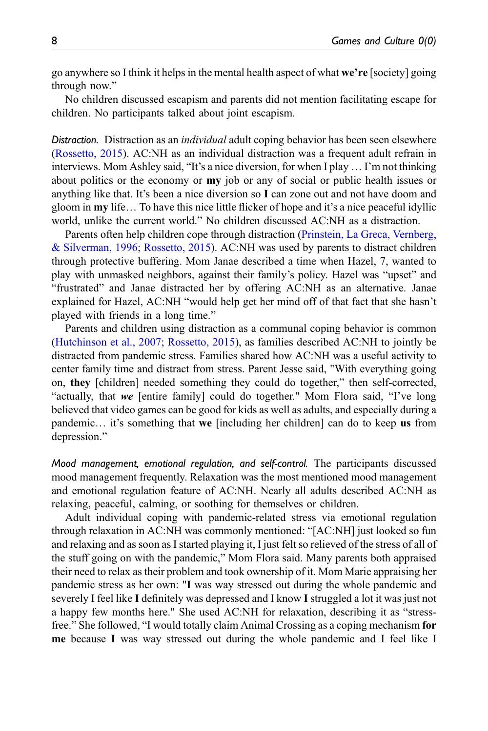go anywhere so I think it helps in the mental health aspect of what we're [society] going through now."

No children discussed escapism and parents did not mention facilitating escape for children. No participants talked about joint escapism.

Distraction. Distraction as an *individual* adult coping behavior has been seen elsewhere ([Rossetto, 2015\)](#page-19-0). AC:NH as an individual distraction was a frequent adult refrain in interviews. Mom Ashley said, "It's a nice diversion, for when I play … I'm not thinking about politics or the economy or my job or any of social or public health issues or anything like that. It's been a nice diversion so I can zone out and not have doom and gloom in my life… To have this nice little flicker of hope and it's a nice peaceful idyllic world, unlike the current world." No children discussed AC:NH as a distraction.

Parents often help children cope through distraction ([Prinstein, La Greca, Vernberg,](#page-19-12) [& Silverman, 1996;](#page-19-12) [Rossetto, 2015\)](#page-19-0). AC:NH was used by parents to distract children through protective buffering. Mom Janae described a time when Hazel, 7, wanted to play with unmasked neighbors, against their family's policy. Hazel was "upset" and "frustrated" and Janae distracted her by offering AC:NH as an alternative. Janae explained for Hazel, AC:NH "would help get her mind off of that fact that she hasn't played with friends in a long time."

Parents and children using distraction as a communal coping behavior is common ([Hutchinson et al., 2007;](#page-17-3) [Rossetto, 2015](#page-19-0)), as families described AC:NH to jointly be distracted from pandemic stress. Families shared how AC:NH was a useful activity to center family time and distract from stress. Parent Jesse said, "With everything going on, they [children] needed something they could do together," then self-corrected, "actually, that we [entire family] could do together." Mom Flora said, "I've long believed that video games can be good for kids as well as adults, and especially during a pandemic... it's something that we [including her children] can do to keep us from depression."

Mood management, emotional regulation, and self-control. The participants discussed mood management frequently. Relaxation was the most mentioned mood management and emotional regulation feature of AC:NH. Nearly all adults described AC:NH as relaxing, peaceful, calming, or soothing for themselves or children.

Adult individual coping with pandemic-related stress via emotional regulation through relaxation in AC:NH was commonly mentioned: "[AC:NH] just looked so fun and relaxing and as soon as I started playing it, I just felt so relieved of the stress of all of the stuff going on with the pandemic," Mom Flora said. Many parents both appraised their need to relax as their problem and took ownership of it. Mom Marie appraising her pandemic stress as her own: "I was way stressed out during the whole pandemic and severely I feel like I definitely was depressed and I know I struggled a lot it was just not a happy few months here." She used AC:NH for relaxation, describing it as "stressfree." She followed, "I would totally claim Animal Crossing as a coping mechanism for me because I was way stressed out during the whole pandemic and I feel like I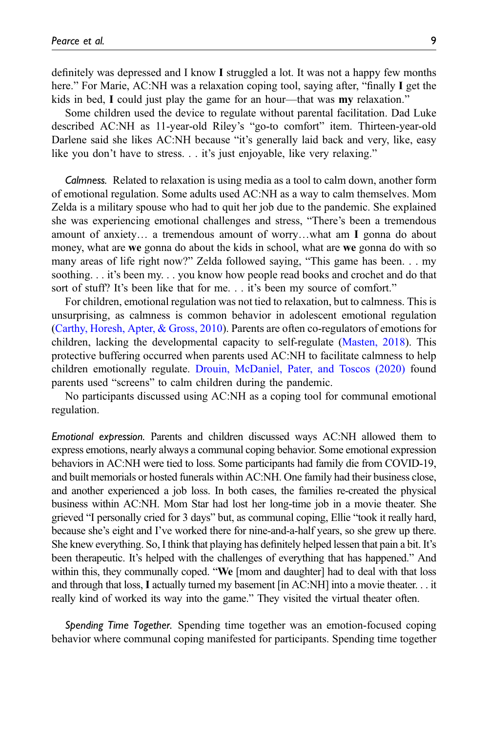definitely was depressed and I know I struggled a lot. It was not a happy few months here." For Marie, AC:NH was a relaxation coping tool, saying after, "finally I get the kids in bed, I could just play the game for an hour—that was my relaxation."

Some children used the device to regulate without parental facilitation. Dad Luke described AC:NH as 11-year-old Riley's "go-to comfort" item. Thirteen-year-old Darlene said she likes AC:NH because "it's generally laid back and very, like, easy like you don't have to stress. . . it's just enjoyable, like very relaxing."

Calmness. Related to relaxation is using media as a tool to calm down, another form of emotional regulation. Some adults used AC:NH as a way to calm themselves. Mom Zelda is a military spouse who had to quit her job due to the pandemic. She explained she was experiencing emotional challenges and stress, "There's been a tremendous amount of anxiety… a tremendous amount of worry…what am I gonna do about money, what are **we** gonna do about the kids in school, what are **we** gonna do with so many areas of life right now?" Zelda followed saying, "This game has been. . . my soothing. . . it's been my. . . you know how people read books and crochet and do that sort of stuff? It's been like that for me. . . it's been my source of comfort."

For children, emotional regulation was not tied to relaxation, but to calmness. This is unsurprising, as calmness is common behavior in adolescent emotional regulation ([Carthy, Horesh, Apter, & Gross, 2010](#page-16-10)). Parents are often co-regulators of emotions for children, lacking the developmental capacity to self-regulate ([Masten, 2018\)](#page-18-2). This protective buffering occurred when parents used AC:NH to facilitate calmness to help children emotionally regulate. [Drouin, McDaniel, Pater, and Toscos \(2020\)](#page-16-11) found parents used "screens" to calm children during the pandemic.

No participants discussed using AC:NH as a coping tool for communal emotional regulation.

Emotional expression. Parents and children discussed ways AC:NH allowed them to express emotions, nearly always a communal coping behavior. Some emotional expression behaviors in AC:NH were tied to loss. Some participants had family die from COVID-19, and built memorials or hosted funerals within AC:NH. One family had their business close, and another experienced a job loss. In both cases, the families re-created the physical business within AC:NH. Mom Star had lost her long-time job in a movie theater. She grieved "I personally cried for 3 days" but, as communal coping, Ellie "took it really hard, because she's eight and I've worked there for nine-and-a-half years, so she grew up there. She knew everything. So, I think that playing has definitely helped lessen that pain a bit. It's been therapeutic. It's helped with the challenges of everything that has happened." And within this, they communally coped. "We [mom and daughter] had to deal with that loss and through that loss, I actually turned my basement [in AC:NH] into a movie theater. . . it really kind of worked its way into the game." They visited the virtual theater often.

Spending Time Together. Spending time together was an emotion-focused coping behavior where communal coping manifested for participants. Spending time together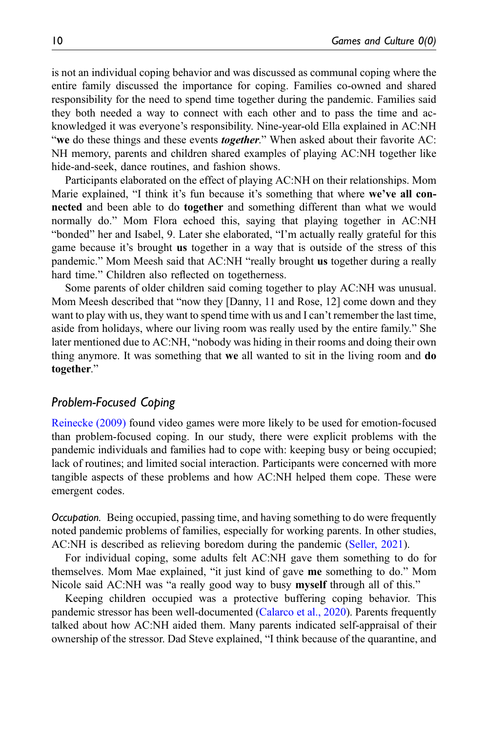is not an individual coping behavior and was discussed as communal coping where the entire family discussed the importance for coping. Families co-owned and shared responsibility for the need to spend time together during the pandemic. Families said they both needed a way to connect with each other and to pass the time and acknowledged it was everyone's responsibility. Nine-year-old Ella explained in AC:NH "we do these things and these events *together*." When asked about their favorite AC: NH memory, parents and children shared examples of playing AC:NH together like hide-and-seek, dance routines, and fashion shows.

Participants elaborated on the effect of playing AC:NH on their relationships. Mom Marie explained, "I think it's fun because it's something that where we've all connected and been able to do together and something different than what we would normally do." Mom Flora echoed this, saying that playing together in AC:NH "bonded" her and Isabel, 9. Later she elaborated, "I'm actually really grateful for this game because it's brought us together in a way that is outside of the stress of this pandemic." Mom Meesh said that AC:NH "really brought us together during a really hard time." Children also reflected on togetherness.

Some parents of older children said coming together to play AC:NH was unusual. Mom Meesh described that "now they [Danny, 11 and Rose, 12] come down and they want to play with us, they want to spend time with us and I can't remember the last time, aside from holidays, where our living room was really used by the entire family." She later mentioned due to AC:NH, "nobody was hiding in their rooms and doing their own thing anymore. It was something that we all wanted to sit in the living room and do together."

### Problem-Focused Coping

[Reinecke \(2009\)](#page-19-4) found video games were more likely to be used for emotion-focused than problem-focused coping. In our study, there were explicit problems with the pandemic individuals and families had to cope with: keeping busy or being occupied; lack of routines; and limited social interaction. Participants were concerned with more tangible aspects of these problems and how AC:NH helped them cope. These were emergent codes.

Occupation. Being occupied, passing time, and having something to do were frequently noted pandemic problems of families, especially for working parents. In other studies, AC:NH is described as relieving boredom during the pandemic ([Seller, 2021](#page-20-11)).

For individual coping, some adults felt AC:NH gave them something to do for themselves. Mom Mae explained, "it just kind of gave me something to do." Mom Nicole said AC:NH was "a really good way to busy myself through all of this."

Keeping children occupied was a protective buffering coping behavior. This pandemic stressor has been well-documented ([Calarco et al., 2020](#page-16-0)). Parents frequently talked about how AC:NH aided them. Many parents indicated self-appraisal of their ownership of the stressor. Dad Steve explained, "I think because of the quarantine, and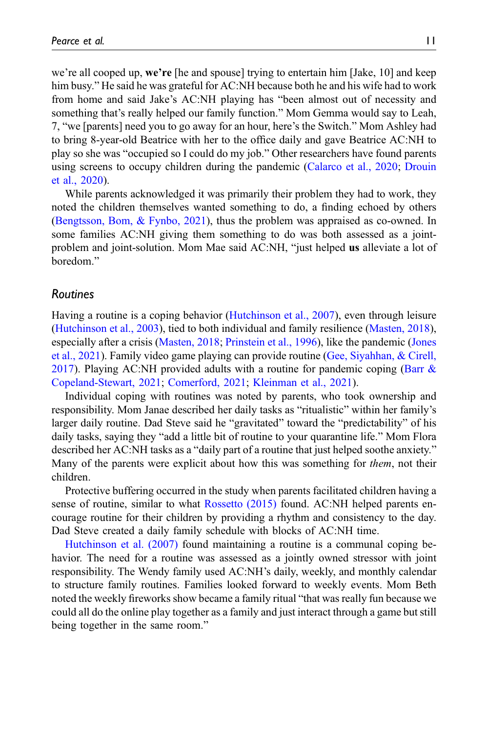we're all cooped up, we're [he and spouse] trying to entertain him [Jake, 10] and keep him busy." He said he was grateful for AC:NH because both he and his wife had to work from home and said Jake's AC:NH playing has "been almost out of necessity and something that's really helped our family function." Mom Gemma would say to Leah, 7, "we [parents] need you to go away for an hour, here's the Switch." Mom Ashley had to bring 8-year-old Beatrice with her to the office daily and gave Beatrice AC:NH to play so she was "occupied so I could do my job." Other researchers have found parents using screens to occupy children during the pandemic [\(Calarco et al., 2020](#page-16-0); [Drouin](#page-16-11) [et al., 2020](#page-16-11)).

While parents acknowledged it was primarily their problem they had to work, they noted the children themselves wanted something to do, a finding echoed by others ([Bengtsson, Bom, & Fynbo, 2021\)](#page-15-13), thus the problem was appraised as co-owned. In some families AC:NH giving them something to do was both assessed as a jointproblem and joint-solution. Mom Mae said AC:NH, "just helped us alleviate a lot of boredom."

#### Routines

Having a routine is a coping behavior ([Hutchinson et al., 2007](#page-17-3)), even through leisure ([Hutchinson et al., 2003\)](#page-17-5), tied to both individual and family resilience ([Masten, 2018\)](#page-18-2), especially after a crisis ([Masten, 2018;](#page-18-2) [Prinstein et al., 1996\)](#page-19-12), like the pandemic [\(Jones](#page-17-1) [et al., 2021](#page-17-1)). Family video game playing can provide routine [\(Gee, Siyahhan, & Cirell,](#page-17-13) [2017\)](#page-17-13). Playing AC:NH provided adults with a routine for pandemic coping ([Barr &](#page-15-6) [Copeland-Stewart, 2021;](#page-15-6) [Comerford, 2021;](#page-16-7) [Kleinman et al., 2021\)](#page-18-4).

Individual coping with routines was noted by parents, who took ownership and responsibility. Mom Janae described her daily tasks as "ritualistic" within her family's larger daily routine. Dad Steve said he "gravitated" toward the "predictability" of his daily tasks, saying they "add a little bit of routine to your quarantine life." Mom Flora described her AC:NH tasks as a "daily part of a routine that just helped soothe anxiety." Many of the parents were explicit about how this was something for *them*, not their children.

Protective buffering occurred in the study when parents facilitated children having a sense of routine, similar to what [Rossetto \(2015\)](#page-19-0) found. AC:NH helped parents encourage routine for their children by providing a rhythm and consistency to the day. Dad Steve created a daily family schedule with blocks of AC:NH time.

[Hutchinson et al. \(2007\)](#page-17-3) found maintaining a routine is a communal coping behavior. The need for a routine was assessed as a jointly owned stressor with joint responsibility. The Wendy family used AC:NH's daily, weekly, and monthly calendar to structure family routines. Families looked forward to weekly events. Mom Beth noted the weekly fireworks show became a family ritual "that was really fun because we could all do the online play together as a family and just interact through a game but still being together in the same room."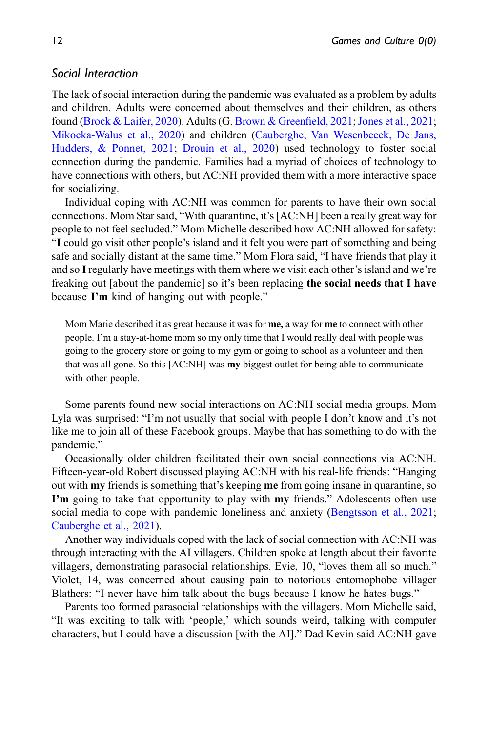### Social Interaction

The lack of social interaction during the pandemic was evaluated as a problem by adults and children. Adults were concerned about themselves and their children, as others found ([Brock & Laifer, 2020](#page-15-0)). Adults (G. [Brown & Green](#page-16-12)field, 2021; [Jones et al., 2021;](#page-17-1) [Mikocka-Walus et al., 2020](#page-18-12)) and children ([Cauberghe, Van Wesenbeeck, De Jans,](#page-16-13) [Hudders, & Ponnet, 2021](#page-16-13); [Drouin et al., 2020](#page-16-11)) used technology to foster social connection during the pandemic. Families had a myriad of choices of technology to have connections with others, but AC:NH provided them with a more interactive space for socializing.

Individual coping with AC:NH was common for parents to have their own social connections. Mom Star said, "With quarantine, it's [AC:NH] been a really great way for people to not feel secluded." Mom Michelle described how AC:NH allowed for safety: "I could go visit other people's island and it felt you were part of something and being safe and socially distant at the same time." Mom Flora said, "I have friends that play it and so Iregularly have meetings with them where we visit each other's island and we're freaking out [about the pandemic] so it's been replacing the social needs that I have because I'm kind of hanging out with people."

Mom Marie described it as great because it was for **me**, a way for **me** to connect with other people. I'm a stay-at-home mom so my only time that I would really deal with people was going to the grocery store or going to my gym or going to school as a volunteer and then that was all gone. So this [AC:NH] was my biggest outlet for being able to communicate with other people.

Some parents found new social interactions on AC:NH social media groups. Mom Lyla was surprised: "I'm not usually that social with people I don't know and it's not like me to join all of these Facebook groups. Maybe that has something to do with the pandemic."

Occasionally older children facilitated their own social connections via AC:NH. Fifteen-year-old Robert discussed playing AC:NH with his real-life friends: "Hanging out with **my** friends is something that's keeping **me** from going insane in quarantine, so I'm going to take that opportunity to play with my friends." Adolescents often use social media to cope with pandemic loneliness and anxiety ([Bengtsson et al., 2021;](#page-15-13) [Cauberghe et al., 2021\)](#page-16-13).

Another way individuals coped with the lack of social connection with AC:NH was through interacting with the AI villagers. Children spoke at length about their favorite villagers, demonstrating parasocial relationships. Evie, 10, "loves them all so much." Violet, 14, was concerned about causing pain to notorious entomophobe villager Blathers: "I never have him talk about the bugs because I know he hates bugs."

Parents too formed parasocial relationships with the villagers. Mom Michelle said, "It was exciting to talk with 'people,' which sounds weird, talking with computer characters, but I could have a discussion [with the AI]." Dad Kevin said AC:NH gave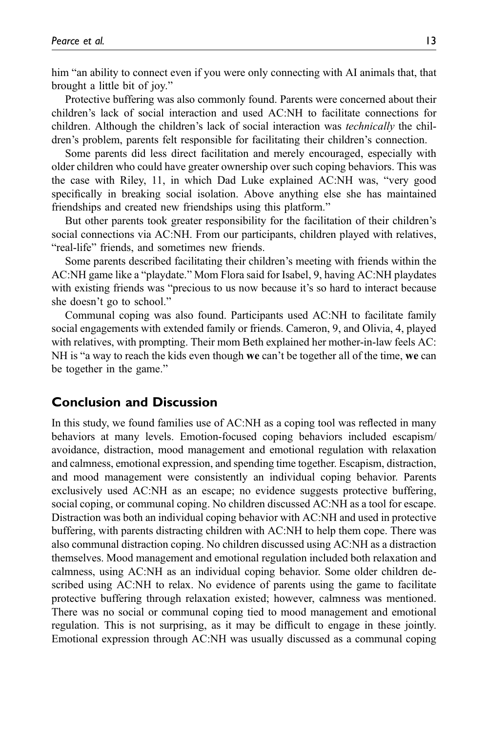him "an ability to connect even if you were only connecting with AI animals that, that brought a little bit of joy."

Protective buffering was also commonly found. Parents were concerned about their children's lack of social interaction and used AC:NH to facilitate connections for children. Although the children's lack of social interaction was *technically* the children's problem, parents felt responsible for facilitating their children's connection.

Some parents did less direct facilitation and merely encouraged, especially with older children who could have greater ownership over such coping behaviors. This was the case with Riley, 11, in which Dad Luke explained AC:NH was, "very good specifically in breaking social isolation. Above anything else she has maintained friendships and created new friendships using this platform."

But other parents took greater responsibility for the facilitation of their children's social connections via AC:NH. From our participants, children played with relatives, "real-life" friends, and sometimes new friends.

Some parents described facilitating their children's meeting with friends within the AC:NH game like a "playdate." Mom Flora said for Isabel, 9, having AC:NH playdates with existing friends was "precious to us now because it's so hard to interact because she doesn't go to school."

Communal coping was also found. Participants used AC:NH to facilitate family social engagements with extended family or friends. Cameron, 9, and Olivia, 4, played with relatives, with prompting. Their mom Beth explained her mother-in-law feels AC: NH is "a way to reach the kids even though we can't be together all of the time, we can be together in the game."

# Conclusion and Discussion

In this study, we found families use of AC:NH as a coping tool was reflected in many behaviors at many levels. Emotion-focused coping behaviors included escapism/ avoidance, distraction, mood management and emotional regulation with relaxation and calmness, emotional expression, and spending time together. Escapism, distraction, and mood management were consistently an individual coping behavior. Parents exclusively used AC:NH as an escape; no evidence suggests protective buffering, social coping, or communal coping. No children discussed AC:NH as a tool for escape. Distraction was both an individual coping behavior with AC:NH and used in protective buffering, with parents distracting children with AC:NH to help them cope. There was also communal distraction coping. No children discussed using AC:NH as a distraction themselves. Mood management and emotional regulation included both relaxation and calmness, using AC:NH as an individual coping behavior. Some older children described using AC:NH to relax. No evidence of parents using the game to facilitate protective buffering through relaxation existed; however, calmness was mentioned. There was no social or communal coping tied to mood management and emotional regulation. This is not surprising, as it may be difficult to engage in these jointly. Emotional expression through AC:NH was usually discussed as a communal coping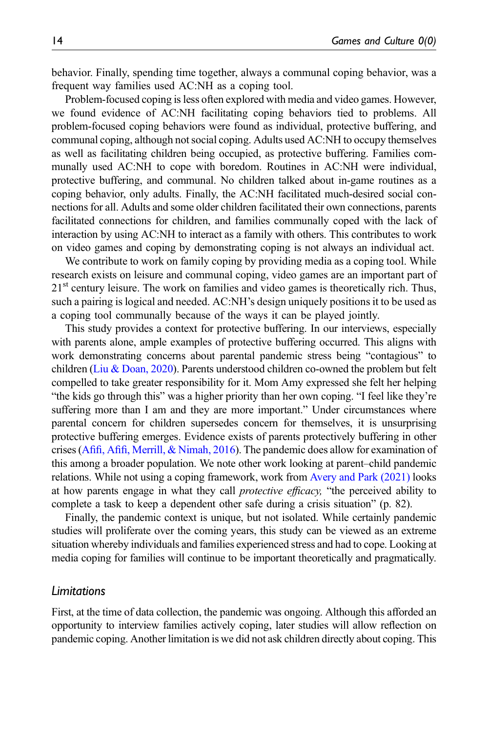behavior. Finally, spending time together, always a communal coping behavior, was a frequent way families used AC:NH as a coping tool.

Problem-focused coping is less often explored with media and video games. However, we found evidence of AC:NH facilitating coping behaviors tied to problems. All problem-focused coping behaviors were found as individual, protective buffering, and communal coping, although not social coping. Adults used AC:NH to occupy themselves as well as facilitating children being occupied, as protective buffering. Families communally used AC:NH to cope with boredom. Routines in AC:NH were individual, protective buffering, and communal. No children talked about in-game routines as a coping behavior, only adults. Finally, the AC:NH facilitated much-desired social connections for all. Adults and some older children facilitated their own connections, parents facilitated connections for children, and families communally coped with the lack of interaction by using AC:NH to interact as a family with others. This contributes to work on video games and coping by demonstrating coping is not always an individual act.

We contribute to work on family coping by providing media as a coping tool. While research exists on leisure and communal coping, video games are an important part of  $21<sup>st</sup>$  century leisure. The work on families and video games is theoretically rich. Thus, such a pairing is logical and needed. AC:NH's design uniquely positions it to be used as a coping tool communally because of the ways it can be played jointly.

This study provides a context for protective buffering. In our interviews, especially with parents alone, ample examples of protective buffering occurred. This aligns with work demonstrating concerns about parental pandemic stress being "contagious" to children [\(Liu & Doan, 2020](#page-18-3)). Parents understood children co-owned the problem but felt compelled to take greater responsibility for it. Mom Amy expressed she felt her helping "the kids go through this" was a higher priority than her own coping. "I feel like they're suffering more than I am and they are more important." Under circumstances where parental concern for children supersedes concern for themselves, it is unsurprising protective buffering emerges. Evidence exists of parents protectively buffering in other crises (Afifi, Afifi[, Merrill, & Nimah, 2016](#page-15-5)). The pandemic does allow for examination of this among a broader population. We note other work looking at parent–child pandemic relations. While not using a coping framework, work from [Avery and Park \(2021\)](#page-15-11) looks at how parents engage in what they call *protective efficacy*, "the perceived ability to complete a task to keep a dependent other safe during a crisis situation" (p. 82).

Finally, the pandemic context is unique, but not isolated. While certainly pandemic studies will proliferate over the coming years, this study can be viewed as an extreme situation whereby individuals and families experienced stress and had to cope. Looking at media coping for families will continue to be important theoretically and pragmatically.

#### Limitations

First, at the time of data collection, the pandemic was ongoing. Although this afforded an opportunity to interview families actively coping, later studies will allow reflection on pandemic coping. Another limitation is we did not ask children directly about coping. This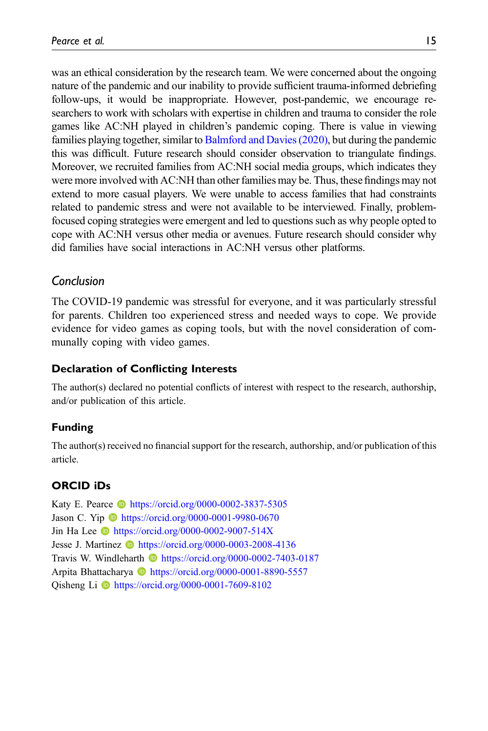was an ethical consideration by the research team. We were concerned about the ongoing nature of the pandemic and our inability to provide sufficient trauma-informed debriefing follow-ups, it would be inappropriate. However, post-pandemic, we encourage researchers to work with scholars with expertise in children and trauma to consider the role games like AC:NH played in children's pandemic coping. There is value in viewing families playing together, similar to [Balmford and Davies \(2020\),](#page-15-10) but during the pandemic this was difficult. Future research should consider observation to triangulate findings. Moreover, we recruited families from AC:NH social media groups, which indicates they were more involved with AC:NH than other families may be. Thus, these findings may not extend to more casual players. We were unable to access families that had constraints related to pandemic stress and were not available to be interviewed. Finally, problemfocused coping strategies were emergent and led to questions such as why people opted to cope with AC:NH versus other media or avenues. Future research should consider why did families have social interactions in AC:NH versus other platforms.

# Conclusion

The COVID-19 pandemic was stressful for everyone, and it was particularly stressful for parents. Children too experienced stress and needed ways to cope. We provide evidence for video games as coping tools, but with the novel consideration of communally coping with video games.

# Declaration of Conflicting Interests

The author(s) declared no potential conflicts of interest with respect to the research, authorship, and/or publication of this article.

# Funding

The author(s) received no financial support for the research, authorship, and/or publication of this article.

# ORCID iDs

Katy E. Pearce **ID** <https://orcid.org/0000-0002-3837-5305> Jason C. Yip **b** <https://orcid.org/0000-0001-9980-0670> Jin Ha Lee **b** <https://orcid.org/0000-0002-9007-514X> Jesse J. Martinez **b** <https://orcid.org/0000-0003-2008-4136> Travis W. Windleharth **b** <https://orcid.org/0000-0002-7403-0187> Arpita Bhattacharya **b** <https://orcid.org/0000-0001-8890-5557> Qisheng Li **D** <https://orcid.org/0000-0001-7609-8102>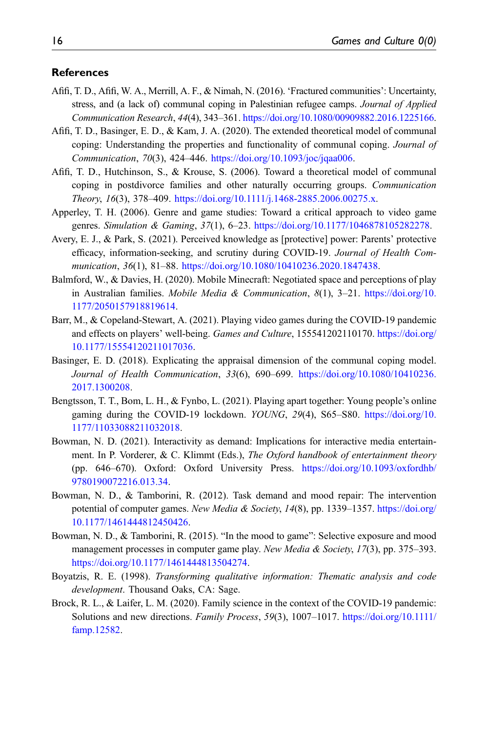#### **References**

- <span id="page-15-5"></span>Afifi, T. D., Afifi, W. A., Merrill, A. F., & Nimah, N. (2016). 'Fractured communities': Uncertainty, stress, and (a lack of) communal coping in Palestinian refugee camps. Journal of Applied Communication Research, 44(4), 343–361. <https://doi.org/10.1080/00909882.2016.1225166>.
- <span id="page-15-3"></span>Afifi, T. D., Basinger, E. D., & Kam, J. A. (2020). The extended theoretical model of communal coping: Understanding the properties and functionality of communal coping. Journal of Communication, 70(3), 424–446. <https://doi.org/10.1093/joc/jqaa006>.
- <span id="page-15-2"></span>Afifi, T. D., Hutchinson, S., & Krouse, S. (2006). Toward a theoretical model of communal coping in postdivorce families and other naturally occurring groups. Communication Theory, 16(3), 378–409. [https://doi.org/10.1111/j.1468-2885.2006.00275.x.](https://doi.org/10.1111/j.1468-2885.2006.00275.x)
- <span id="page-15-1"></span>Apperley, T. H. (2006). Genre and game studies: Toward a critical approach to video game genres. Simulation & Gaming, 37(1), 6–23. <https://doi.org/10.1177/1046878105282278>.
- <span id="page-15-11"></span>Avery, E. J., & Park, S. (2021). Perceived knowledge as [protective] power: Parents' protective efficacy, information-seeking, and scrutiny during COVID-19. Journal of Health Communication, 36(1), 81-88. [https://doi.org/10.1080/10410236.2020.1847438.](https://doi.org/10.1080/10410236.2020.1847438)
- <span id="page-15-10"></span>Balmford, W., & Davies, H. (2020). Mobile Minecraft: Negotiated space and perceptions of play in Australian families. Mobile Media & Communication,  $8(1)$ ,  $3-21$ . [https://doi.org/10.](https://doi.org/10.1177/2050157918819614) [1177/2050157918819614](https://doi.org/10.1177/2050157918819614).
- <span id="page-15-6"></span>Barr, M., & Copeland-Stewart, A. (2021). Playing video games during the COVID-19 pandemic and effects on players' well-being. Games and Culture, 155541202110170. [https://doi.org/](https://doi.org/10.1177/15554120211017036) [10.1177/15554120211017036.](https://doi.org/10.1177/15554120211017036)
- <span id="page-15-4"></span>Basinger, E. D. (2018). Explicating the appraisal dimension of the communal coping model. Journal of Health Communication, 33(6), 690–699. [https://doi.org/10.1080/10410236.](https://doi.org/10.1080/10410236.2017.1300208) [2017.1300208](https://doi.org/10.1080/10410236.2017.1300208).
- <span id="page-15-13"></span>Bengtsson, T. T., Bom, L. H., & Fynbo, L. (2021). Playing apart together: Young people's online gaming during the COVID-19 lockdown. YOUNG, 29(4), S65–S80. [https://doi.org/10.](https://doi.org/10.1177/11033088211032018) [1177/11033088211032018](https://doi.org/10.1177/11033088211032018).
- <span id="page-15-8"></span>Bowman, N. D. (2021). Interactivity as demand: Implications for interactive media entertainment. In P. Vorderer, & C. Klimmt (Eds.), The Oxford handbook of entertainment theory (pp. 646–670). Oxford: Oxford University Press. [https://doi.org/10.1093/oxfordhb/](https://doi.org/10.1093/oxfordhb/9780190072216.013.34) [9780190072216.013.34.](https://doi.org/10.1093/oxfordhb/9780190072216.013.34)
- <span id="page-15-7"></span>Bowman, N. D., & Tamborini, R. (2012). Task demand and mood repair: The intervention potential of computer games. New Media & Society, 14(8), pp. 1339–1357. [https://doi.org/](https://doi.org/10.1177/1461444812450426) [10.1177/1461444812450426.](https://doi.org/10.1177/1461444812450426)
- <span id="page-15-9"></span>Bowman, N. D., & Tamborini, R. (2015). "In the mood to game": Selective exposure and mood management processes in computer game play. New Media & Society, 17(3), pp. 375–393. [https://doi.org/10.1177/1461444813504274.](https://doi.org/10.1177/1461444813504274)
- <span id="page-15-12"></span>Boyatzis, R. E. (1998). Transforming qualitative information: Thematic analysis and code development. Thousand Oaks, CA: Sage.
- <span id="page-15-0"></span>Brock, R. L., & Laifer, L. M. (2020). Family science in the context of the COVID-19 pandemic: Solutions and new directions. Family Process, 59(3), 1007–1017. [https://doi.org/10.1111/](https://doi.org/10.1111/famp.12582) [famp.12582](https://doi.org/10.1111/famp.12582).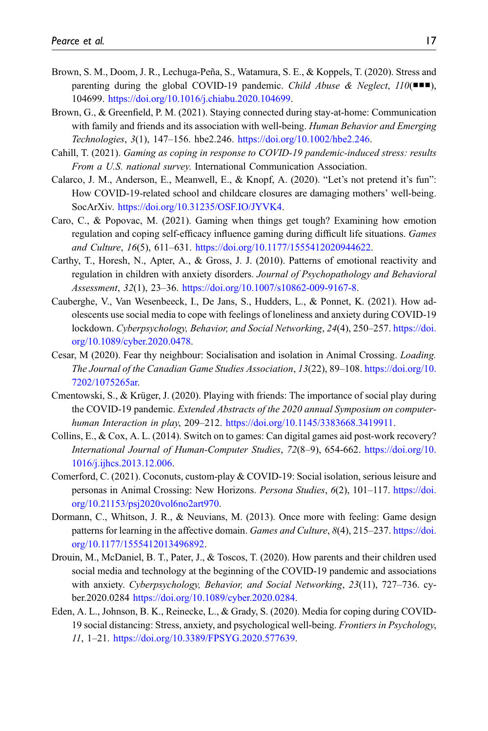- <span id="page-16-9"></span>Brown, S. M., Doom, J. R., Lechuga-Peña, S., Watamura, S. E., & Koppels, T. (2020). Stress and parenting during the global COVID-19 pandemic. Child Abuse & Neglect,  $110($ ■■), 104699. <https://doi.org/10.1016/j.chiabu.2020.104699>.
- <span id="page-16-12"></span>Brown, G., & Greenfield, P. M. (2021). Staying connected during stay-at-home: Communication with family and friends and its association with well-being. Human Behavior and Emerging Technologies, 3(1), 147–156. hbe2.246. <https://doi.org/10.1002/hbe2.246>.
- <span id="page-16-2"></span>Cahill, T. (2021). Gaming as coping in response to COVID-19 pandemic-induced stress: results From a U.S. national survey. International Communication Association.
- <span id="page-16-0"></span>Calarco, J. M., Anderson, E., Meanwell, E., & Knopf, A. (2020). "Let's not pretend it's fun": How COVID-19-related school and childcare closures are damaging mothers' well-being. SocArXiv. [https://doi.org/10.31235/OSF.IO/JYVK4.](https://doi.org/10.31235/OSF.IO/JYVK4)
- <span id="page-16-1"></span>Caro, C., & Popovac, M. (2021). Gaming when things get tough? Examining how emotion regulation and coping self-efficacy influence gaming during difficult life situations. *Games* and Culture, 16(5), 611–631. <https://doi.org/10.1177/1555412020944622>.
- <span id="page-16-10"></span>Carthy, T., Horesh, N., Apter, A., & Gross, J. J. (2010). Patterns of emotional reactivity and regulation in children with anxiety disorders. Journal of Psychopathology and Behavioral Assessment, 32(1), 23–36. [https://doi.org/10.1007/s10862-009-9167-8.](https://doi.org/10.1007/s10862-009-9167-8)
- <span id="page-16-13"></span>Cauberghe, V., Van Wesenbeeck, I., De Jans, S., Hudders, L., & Ponnet, K. (2021). How adolescents use social media to cope with feelings of loneliness and anxiety during COVID-19 lockdown. Cyberpsychology, Behavior, and Social Networking, 24(4), 250–257. [https://doi.](https://doi.org/10.1089/cyber.2020.0478) [org/10.1089/cyber.2020.0478.](https://doi.org/10.1089/cyber.2020.0478)
- <span id="page-16-5"></span>Cesar, M (2020). Fear thy neighbour: Socialisation and isolation in Animal Crossing. Loading. The Journal of the Canadian Game Studies Association, 13(22), 89–108. [https://doi.org/10.](https://doi.org/10.7202/1075265ar) [7202/1075265ar.](https://doi.org/10.7202/1075265ar)
- <span id="page-16-8"></span>Cmentowski, S., & Krüger, J. (2020). Playing with friends: The importance of social play during the COVID-19 pandemic. Extended Abstracts of the 2020 annual Symposium on computerhuman Interaction in play, 209–212. <https://doi.org/10.1145/3383668.3419911>.
- <span id="page-16-6"></span>Collins, E., & Cox, A. L. (2014). Switch on to games: Can digital games aid post-work recovery? International Journal of Human-Computer Studies, 72(8–9), 654-662. [https://doi.org/10.](https://doi.org/10.1016/j.ijhcs.2013.12.006) [1016/j.ijhcs.2013.12.006](https://doi.org/10.1016/j.ijhcs.2013.12.006).
- <span id="page-16-7"></span>Comerford, C. (2021). Coconuts, custom-play & COVID-19: Social isolation, serious leisure and personas in Animal Crossing: New Horizons. Persona Studies, 6(2), 101–117. [https://doi.](https://doi.org/10.21153/psj2020vol6no2art970) [org/10.21153/psj2020vol6no2art970.](https://doi.org/10.21153/psj2020vol6no2art970)
- <span id="page-16-4"></span>Dormann, C., Whitson, J. R., & Neuvians, M. (2013). Once more with feeling: Game design patterns for learning in the affective domain. Games and Culture, 8(4), 215–237. [https://doi.](https://doi.org/10.1177/1555412013496892) [org/10.1177/1555412013496892.](https://doi.org/10.1177/1555412013496892)
- <span id="page-16-11"></span>Drouin, M., McDaniel, B. T., Pater, J., & Toscos, T. (2020). How parents and their children used social media and technology at the beginning of the COVID-19 pandemic and associations with anxiety. Cyberpsychology, Behavior, and Social Networking, 23(11), 727–736. cyber.2020.0284 <https://doi.org/10.1089/cyber.2020.0284>.
- <span id="page-16-3"></span>Eden, A. L., Johnson, B. K., Reinecke, L., & Grady, S. (2020). Media for coping during COVID-19 social distancing: Stress, anxiety, and psychological well-being. Frontiers in Psychology, 11, 1–21. <https://doi.org/10.3389/FPSYG.2020.577639>.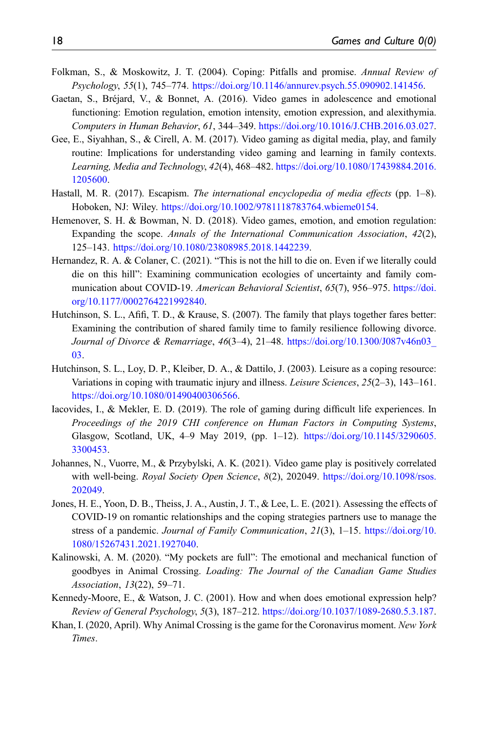- <span id="page-17-2"></span>Folkman, S., & Moskowitz, J. T. (2004). Coping: Pitfalls and promise. Annual Review of Psychology, 55(1), 745–774. [https://doi.org/10.1146/annurev.psych.55.090902.141456.](https://doi.org/10.1146/annurev.psych.55.090902.141456)
- <span id="page-17-9"></span>Gaetan, S., Bréjard, V., & Bonnet, A. (2016). Video games in adolescence and emotional functioning: Emotion regulation, emotion intensity, emotion expression, and alexithymia. Computers in Human Behavior, 61, 344–349. <https://doi.org/10.1016/J.CHB.2016.03.027>.
- <span id="page-17-13"></span>Gee, E., Siyahhan, S., & Cirell, A. M. (2017). Video gaming as digital media, play, and family routine: Implications for understanding video gaming and learning in family contexts. Learning, Media and Technology, 42(4), 468–482. [https://doi.org/10.1080/17439884.2016.](https://doi.org/10.1080/17439884.2016.1205600) [1205600.](https://doi.org/10.1080/17439884.2016.1205600)
- <span id="page-17-12"></span>Hastall, M. R. (2017). Escapism. The international encyclopedia of media effects (pp. 1–8). Hoboken, NJ: Wiley. [https://doi.org/10.1002/9781118783764.wbieme0154.](https://doi.org/10.1002/9781118783764.wbieme0154)
- <span id="page-17-8"></span>Hemenover, S. H. & Bowman, N. D. (2018). Video games, emotion, and emotion regulation: Expanding the scope. Annals of the International Communication Association, 42(2), 125–143. [https://doi.org/10.1080/23808985.2018.1442239.](https://doi.org/10.1080/23808985.2018.1442239)
- <span id="page-17-4"></span>Hernandez, R. A. & Colaner, C. (2021). "This is not the hill to die on. Even if we literally could die on this hill": Examining communication ecologies of uncertainty and family communication about COVID-19. American Behavioral Scientist, 65(7), 956–975. [https://doi.](https://doi.org/10.1177/0002764221992840) [org/10.1177/0002764221992840.](https://doi.org/10.1177/0002764221992840)
- <span id="page-17-3"></span>Hutchinson, S. L., Afifi, T. D., & Krause, S. (2007). The family that plays together fares better: Examining the contribution of shared family time to family resilience following divorce. Journal of Divorce & Remarriage, 46(3–4), 21–48. [https://doi.org/10.1300/J087v46n03\\_](https://doi.org/10.1300/J087v46n03_03) [03.](https://doi.org/10.1300/J087v46n03_03)
- <span id="page-17-5"></span>Hutchinson, S. L., Loy, D. P., Kleiber, D. A., & Dattilo, J. (2003). Leisure as a coping resource: Variations in coping with traumatic injury and illness. Leisure Sciences, 25(2–3), 143–161. <https://doi.org/10.1080/01490400306566>.
- <span id="page-17-6"></span>Iacovides, I., & Mekler, E. D. (2019). The role of gaming during difficult life experiences. In Proceedings of the 2019 CHI conference on Human Factors in Computing Systems, Glasgow, Scotland, UK, 4–9 May 2019, (pp. 1–12). [https://doi.org/10.1145/3290605.](https://doi.org/10.1145/3290605.3300453) [3300453.](https://doi.org/10.1145/3290605.3300453)
- <span id="page-17-7"></span>Johannes, N., Vuorre, M., & Przybylski, A. K. (2021). Video game play is positively correlated with well-being. Royal Society Open Science, 8(2), 202049. [https://doi.org/10.1098/rsos.](https://doi.org/10.1098/rsos.202049) [202049](https://doi.org/10.1098/rsos.202049).
- <span id="page-17-1"></span>Jones, H. E., Yoon, D. B., Theiss, J. A., Austin, J. T., & Lee, L. E. (2021). Assessing the effects of COVID-19 on romantic relationships and the coping strategies partners use to manage the stress of a pandemic. Journal of Family Communication, 21(3), 1–15. [https://doi.org/10.](https://doi.org/10.1080/15267431.2021.1927040) [1080/15267431.2021.1927040.](https://doi.org/10.1080/15267431.2021.1927040)
- <span id="page-17-11"></span>Kalinowski, A. M. (2020). "My pockets are full": The emotional and mechanical function of goodbyes in Animal Crossing. Loading: The Journal of the Canadian Game Studies Association, 13(22), 59–71.
- <span id="page-17-10"></span>Kennedy-Moore, E., & Watson, J. C. (2001). How and when does emotional expression help? Review of General Psychology, 5(3), 187–212. <https://doi.org/10.1037/1089-2680.5.3.187>.
- <span id="page-17-0"></span>Khan, I. (2020, April). Why Animal Crossing is the game for the Coronavirus moment. New York Times.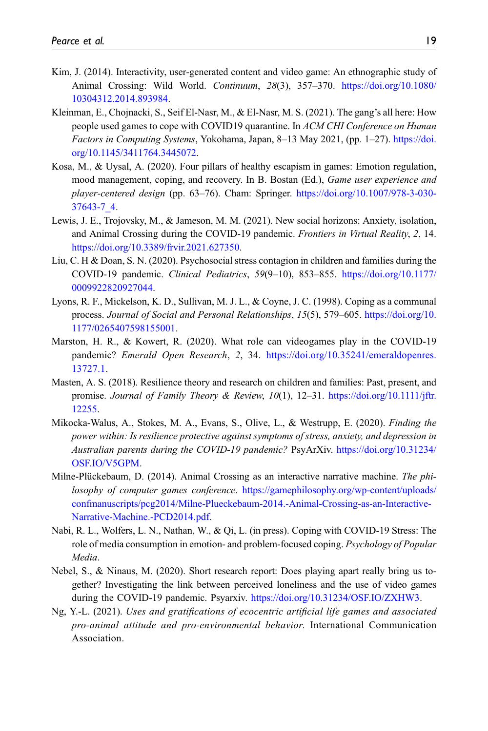- <span id="page-18-0"></span>Kim, J. (2014). Interactivity, user-generated content and video game: An ethnographic study of Animal Crossing: Wild World. Continuum, 28(3), 357–370. [https://doi.org/10.1080/](https://doi.org/10.1080/10304312.2014.893984) [10304312.2014.893984.](https://doi.org/10.1080/10304312.2014.893984)
- <span id="page-18-4"></span>Kleinman, E., Chojnacki, S., Seif El-Nasr, M., & El-Nasr, M. S. (2021). The gang's all here: How people used games to cope with COVID19 quarantine. In ACM CHI Conference on Human Factors in Computing Systems, Yokohama, Japan, 8–13 May 2021, (pp. 1–27). [https://doi.](https://doi.org/10.1145/3411764.3445072) [org/10.1145/3411764.3445072.](https://doi.org/10.1145/3411764.3445072)
- <span id="page-18-8"></span>Kosa, M., & Uysal, A. (2020). Four pillars of healthy escapism in games: Emotion regulation, mood management, coping, and recovery. In B. Bostan (Ed.), Game user experience and player-centered design (pp. 63–76). Cham: Springer. [https://doi.org/10.1007/978-3-030-](https://doi.org/10.1007/978-3-030-37643-7_4) [37643-7\\_4](https://doi.org/10.1007/978-3-030-37643-7_4).
- <span id="page-18-11"></span>Lewis, J. E., Trojovsky, M., & Jameson, M. M. (2021). New social horizons: Anxiety, isolation, and Animal Crossing during the COVID-19 pandemic. Frontiers in Virtual Reality, 2, 14. [https://doi.org/10.3389/frvir.2021.627350.](https://doi.org/10.3389/frvir.2021.627350)
- <span id="page-18-3"></span>Liu, C. H & Doan, S. N. (2020). Psychosocial stress contagion in children and families during the COVID-19 pandemic. Clinical Pediatrics, 59(9–10), 853–855. [https://doi.org/10.1177/](https://doi.org/10.1177/0009922820927044) [0009922820927044](https://doi.org/10.1177/0009922820927044).
- <span id="page-18-1"></span>Lyons, R. F., Mickelson, K. D., Sullivan, M. J. L., & Coyne, J. C. (1998). Coping as a communal process. Journal of Social and Personal Relationships, 15(5), 579–605. [https://doi.org/10.](https://doi.org/10.1177/0265407598155001) [1177/0265407598155001](https://doi.org/10.1177/0265407598155001).
- <span id="page-18-10"></span>Marston, H. R., & Kowert, R. (2020). What role can videogames play in the COVID-19 pandemic? Emerald Open Research, 2, 34. [https://doi.org/10.35241/emeraldopenres.](https://doi.org/10.35241/emeraldopenres.13727.1) [13727.1](https://doi.org/10.35241/emeraldopenres.13727.1).
- <span id="page-18-2"></span>Masten, A. S. (2018). Resilience theory and research on children and families: Past, present, and promise. Journal of Family Theory & Review, 10(1), 12–31. [https://doi.org/10.1111/jftr.](https://doi.org/10.1111/jftr.12255) [12255.](https://doi.org/10.1111/jftr.12255)
- <span id="page-18-12"></span>Mikocka-Walus, A., Stokes, M. A., Evans, S., Olive, L., & Westrupp, E. (2020). Finding the power within: Is resilience protective against symptoms of stress, anxiety, and depression in Australian parents during the COVID-19 pandemic? PsyArXiv. [https://doi.org/10.31234/](https://doi.org/10.31234/OSF.IO/V5GPM) [OSF.IO/V5GPM.](https://doi.org/10.31234/OSF.IO/V5GPM)
- <span id="page-18-7"></span>Milne-Plückebaum, D. (2014). Animal Crossing as an interactive narrative machine. The philosophy of computer games conference. [https://gamephilosophy.org/wp-content/uploads/](https://gamephilosophy.org/wp-content/uploads/confmanuscripts/pcg2014/Milne-Plueckebaum-2014.-Animal-Crossing-as-an-Interactive-Narrative-Machine.-PCD2014.pdf) [confmanuscripts/pcg2014/Milne-Plueckebaum-2014.-Animal-Crossing-as-an-Interactive-](https://gamephilosophy.org/wp-content/uploads/confmanuscripts/pcg2014/Milne-Plueckebaum-2014.-Animal-Crossing-as-an-Interactive-Narrative-Machine.-PCD2014.pdf)[Narrative-Machine.-PCD2014.pdf](https://gamephilosophy.org/wp-content/uploads/confmanuscripts/pcg2014/Milne-Plueckebaum-2014.-Animal-Crossing-as-an-Interactive-Narrative-Machine.-PCD2014.pdf).
- <span id="page-18-5"></span>Nabi, R. L., Wolfers, L. N., Nathan, W., & Qi, L. (in press). Coping with COVID-19 Stress: The role of media consumption in emotion- and problem-focused coping. Psychology of Popular Media.
- <span id="page-18-6"></span>Nebel, S., & Ninaus, M. (2020). Short research report: Does playing apart really bring us together? Investigating the link between perceived loneliness and the use of video games during the COVID-19 pandemic. Psyarxiv. [https://doi.org/10.31234/OSF.IO/ZXHW3.](https://doi.org/10.31234/OSF.IO/ZXHW3)
- <span id="page-18-9"></span>Ng, Y.-L. (2021). Uses and gratifications of ecocentric artificial life games and associated pro-animal attitude and pro-environmental behavior. International Communication Association.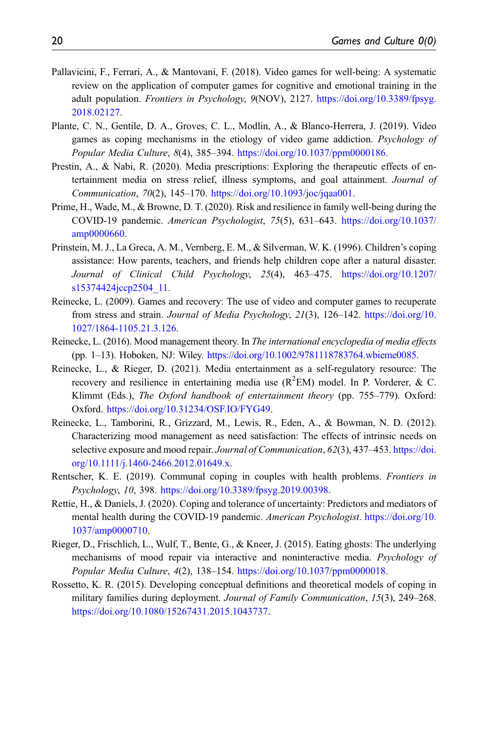- <span id="page-19-10"></span>Pallavicini, F., Ferrari, A., & Mantovani, F. (2018). Video games for well-being: A systematic review on the application of computer games for cognitive and emotional training in the adult population. Frontiers in Psychology, 9(NOV), 2127. [https://doi.org/10.3389/fpsyg.](https://doi.org/10.3389/fpsyg.2018.02127) [2018.02127](https://doi.org/10.3389/fpsyg.2018.02127).
- <span id="page-19-8"></span>Plante, C. N., Gentile, D. A., Groves, C. L., Modlin, A., & Blanco-Herrera, J. (2019). Video games as coping mechanisms in the etiology of video game addiction. Psychology of Popular Media Culture, 8(4), 385-394. <https://doi.org/10.1037/ppm0000186>.
- <span id="page-19-3"></span>Prestin, A., & Nabi, R. (2020). Media prescriptions: Exploring the therapeutic effects of entertainment media on stress relief, illness symptoms, and goal attainment. Journal of Communication, 70(2), 145–170. <https://doi.org/10.1093/joc/jqaa001>.
- <span id="page-19-2"></span>Prime, H., Wade, M., & Browne, D. T. (2020). Risk and resilience in family well-being during the COVID-19 pandemic. American Psychologist, 75(5), 631–643. [https://doi.org/10.1037/](https://doi.org/10.1037/amp0000660) [amp0000660](https://doi.org/10.1037/amp0000660).
- <span id="page-19-12"></span>Prinstein, M. J., La Greca, A. M., Vernberg, E. M., & Silverman, W. K. (1996). Children's coping assistance: How parents, teachers, and friends help children cope after a natural disaster. Journal of Clinical Child Psychology, 25(4), 463–475. [https://doi.org/10.1207/](https://doi.org/10.1207/s15374424jccp2504_11) s15374424jccp2504 11.
- <span id="page-19-4"></span>Reinecke, L. (2009). Games and recovery: The use of video and computer games to recuperate from stress and strain. Journal of Media Psychology, 21(3), 126–142. [https://doi.org/10.](https://doi.org/10.1027/1864-1105.21.3.126) [1027/1864-1105.21.3.126](https://doi.org/10.1027/1864-1105.21.3.126).
- <span id="page-19-7"></span>Reinecke, L. (2016). Mood management theory. In The international encyclopedia of media effects (pp. 1–13). Hoboken, NJ: Wiley. [https://doi.org/10.1002/9781118783764.wbieme0085.](https://doi.org/10.1002/9781118783764.wbieme0085)
- <span id="page-19-6"></span>Reinecke, L., & Rieger, D. (2021). Media entertainment as a self-regulatory resource: The recovery and resilience in entertaining media use  $(R^2EM)$  model. In P. Vorderer, & C. Klimmt (Eds.), The Oxford handbook of entertainment theory (pp. 755–779). Oxford: Oxford. <https://doi.org/10.31234/OSF.IO/FYG49>.
- <span id="page-19-9"></span>Reinecke, L., Tamborini, R., Grizzard, M., Lewis, R., Eden, A., & Bowman, N. D. (2012). Characterizing mood management as need satisfaction: The effects of intrinsic needs on selective exposure and mood repair. Journal of Communication, 62(3), 437–453. [https://doi.](https://doi.org/10.1111/j.1460-2466.2012.01649.x) [org/10.1111/j.1460-2466.2012.01649.x](https://doi.org/10.1111/j.1460-2466.2012.01649.x).
- <span id="page-19-11"></span>Rentscher, K. E. (2019). Communal coping in couples with health problems. Frontiers in Psychology, 10, 398. [https://doi.org/10.3389/fpsyg.2019.00398.](https://doi.org/10.3389/fpsyg.2019.00398)
- <span id="page-19-1"></span>Rettie, H., & Daniels, J. (2020). Coping and tolerance of uncertainty: Predictors and mediators of mental health during the COVID-19 pandemic. American Psychologist. [https://doi.org/10.](https://doi.org/10.1037/amp0000710) [1037/amp0000710.](https://doi.org/10.1037/amp0000710)
- <span id="page-19-5"></span>Rieger, D., Frischlich, L., Wulf, T., Bente, G., & Kneer, J. (2015). Eating ghosts: The underlying mechanisms of mood repair via interactive and noninteractive media. Psychology of Popular Media Culture, 4(2), 138-154. <https://doi.org/10.1037/ppm0000018>.
- <span id="page-19-0"></span>Rossetto, K. R. (2015). Developing conceptual definitions and theoretical models of coping in military families during deployment. Journal of Family Communication, 15(3), 249–268. <https://doi.org/10.1080/15267431.2015.1043737>.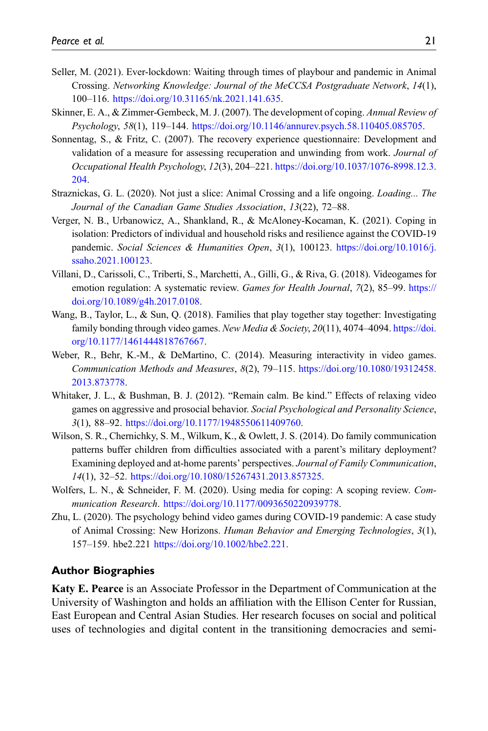- <span id="page-20-11"></span>Seller, M. (2021). Ever-lockdown: Waiting through times of playbour and pandemic in Animal Crossing. Networking Knowledge: Journal of the MeCCSA Postgraduate Network, 14(1), 100–116. [https://doi.org/10.31165/nk.2021.141.635.](https://doi.org/10.31165/nk.2021.141.635)
- <span id="page-20-7"></span>Skinner, E. A., & Zimmer-Gembeck, M. J. (2007). The development of coping. Annual Review of Psychology, 58(1), 119–144. <https://doi.org/10.1146/annurev.psych.58.110405.085705>.
- <span id="page-20-5"></span>Sonnentag, S., & Fritz, C. (2007). The recovery experience questionnaire: Development and validation of a measure for assessing recuperation and unwinding from work. Journal of Occupational Health Psychology, 12(3), 204–221. [https://doi.org/10.1037/1076-8998.12.3.](https://doi.org/10.1037/1076-8998.12.3.204) [204](https://doi.org/10.1037/1076-8998.12.3.204).
- <span id="page-20-9"></span>Straznickas, G. L. (2020). Not just a slice: Animal Crossing and a life ongoing. Loading... The Journal of the Canadian Game Studies Association, 13(22), 72–88.
- <span id="page-20-1"></span>Verger, N. B., Urbanowicz, A., Shankland, R., & McAloney-Kocaman, K. (2021). Coping in isolation: Predictors of individual and household risks and resilience against the COVID-19 pandemic. Social Sciences & Humanities Open, 3(1), 100123. [https://doi.org/10.1016/j.](https://doi.org/10.1016/j.ssaho.2021.100123) [ssaho.2021.100123.](https://doi.org/10.1016/j.ssaho.2021.100123)
- <span id="page-20-8"></span>Villani, D., Carissoli, C., Triberti, S., Marchetti, A., Gilli, G., & Riva, G. (2018). Videogames for emotion regulation: A systematic review. Games for Health Journal, 7(2), 85–99. [https://](https://doi.org/10.1089/g4h.2017.0108) [doi.org/10.1089/g4h.2017.0108.](https://doi.org/10.1089/g4h.2017.0108)
- <span id="page-20-10"></span>Wang, B., Taylor, L., & Sun, Q. (2018). Families that play together stay together: Investigating family bonding through video games. New Media & Society,  $20(11)$ , 4074–4094. [https://doi.](https://doi.org/10.1177/1461444818767667) [org/10.1177/1461444818767667.](https://doi.org/10.1177/1461444818767667)
- <span id="page-20-4"></span>Weber, R., Behr, K.-M., & DeMartino, C. (2014). Measuring interactivity in video games. Communication Methods and Measures, 8(2), 79–115. [https://doi.org/10.1080/19312458.](https://doi.org/10.1080/19312458.2013.873778) [2013.873778.](https://doi.org/10.1080/19312458.2013.873778)
- <span id="page-20-6"></span>Whitaker, J. L., & Bushman, B. J. (2012). "Remain calm. Be kind." Effects of relaxing video games on aggressive and prosocial behavior. Social Psychological and Personality Science, 3(1), 88–92. <https://doi.org/10.1177/1948550611409760>.
- <span id="page-20-2"></span>Wilson, S. R., Chernichky, S. M., Wilkum, K., & Owlett, J. S. (2014). Do family communication patterns buffer children from difficulties associated with a parent's military deployment? Examining deployed and at-home parents' perspectives. Journal of Family Communication, 14(1), 32–52. [https://doi.org/10.1080/15267431.2013.857325.](https://doi.org/10.1080/15267431.2013.857325)
- <span id="page-20-3"></span>Wolfers, L. N., & Schneider, F. M. (2020). Using media for coping: A scoping review. Communication Research. <https://doi.org/10.1177/0093650220939778>.
- <span id="page-20-0"></span>Zhu, L. (2020). The psychology behind video games during COVID-19 pandemic: A case study of Animal Crossing: New Horizons. Human Behavior and Emerging Technologies, 3(1), 157–159. hbe2.221 <https://doi.org/10.1002/hbe2.221>.

#### Author Biographies

Katy E. Pearce is an Associate Professor in the Department of Communication at the University of Washington and holds an affiliation with the Ellison Center for Russian, East European and Central Asian Studies. Her research focuses on social and political uses of technologies and digital content in the transitioning democracies and semi